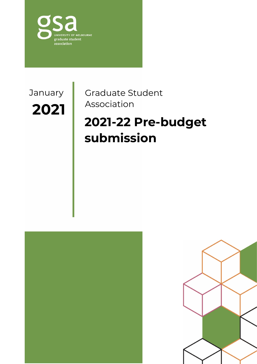

Association **2021** January

Graduate Student

# **2021-22 Pre-budget submission**



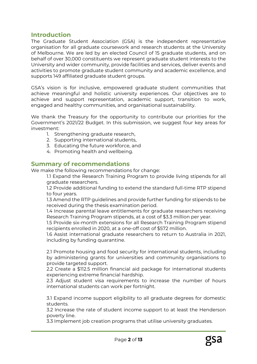## **Introduction**

The Graduate Student Association (GSA) is the independent representative organisation for all graduate coursework and research students at the University of Melbourne. We are led by an elected Council of 15 graduate students, and on behalf of over 30,000 constituents we represent graduate student interests to the University and wider community, provide facilities and services, deliver events and activities to promote graduate student community and academic excellence, and supports 149 affiliated graduate student groups.

GSA's vision is for inclusive, empowered graduate student communities that achieve meaningful and holistic university experiences. Our objectives are to achieve and support representation, academic support, transition to work, engaged and healthy communities, and organisational sustainability.

We thank the Treasury for the opportunity to contribute our priorities for the Government's 2021/22 Budget. In this submission, we suggest four key areas for investment:

- 1. Strengthening graduate research,
- 2. Supporting international students,
- 3. Educating the future workforce, and
- 4. Promoting health and wellbeing.

## **Summary of recommendations**

We make the following recommendations for change:

1.1 Expand the Research Training Program to provide living stipends for all graduate researchers.

1.2 Provide additional funding to extend the standard full-time RTP stipend to four years.

1.3 Amend the RTP guidelines and provide further funding for stipends to be received during the thesis examination period.

1.4 Increase parental leave entitlements for graduate researchers receiving Research Training Program stipends, at a cost of \$3.3 million per year.

1.5 Provide six-month extensions for all Research Training Program stipend recipients enrolled in 2020, at a one-off cost of \$572 million.

1.6 Assist international graduate researchers to return to Australia in 2021, including by funding quarantine.

2.1 Promote housing and food security for international students, including by administering grants for universities and community organisations to provide targeted support.

2.2 Create a \$112.5 million financial aid package for international students experiencing extreme financial hardship.

2.3 Adjust student visa requirements to increase the number of hours international students can work per fortnight.

3.1 Expand income support eligibility to all graduate degrees for domestic students.

3.2 Increase the rate of student income support to at least the Henderson poverty line.

3.3 Implement job creation programs that utilise university graduates.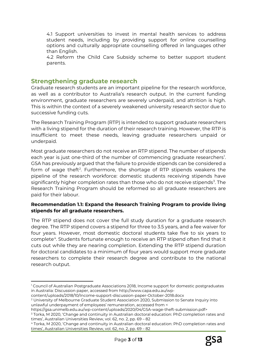4.1 Support universities to invest in mental health services to address student needs, including by providing support for online counselling options and culturally appropriate counselling offered in languages other than English.

4.2 Reform the Child Care Subsidy scheme to better support student parents.

## **Strengthening graduate research**

<u>.</u>

Graduate research students are an important pipeline for the research workforce, as well as a contributor to Australia's research output. In the current funding environment, graduate researchers are severely underpaid, and attrition is high. This is within the context of a severely weakened university research sector due to successive funding cuts.

The Research Training Program (RTP) is intended to support graduate researchers with a living stipend for the duration of their research training. However, the RTP is insufficient to meet these needs, leaving graduate researchers unpaid or underpaid.

Most graduate researchers do not receive an RTP stipend. The number of stipends each year is just one-third of the number of commencing graduate researchers<sup>[1](#page-2-0)</sup>. GSA has previously argued that the failure to provide stipends can be considered a form of wage theft<sup>[2](#page-2-1)</sup>. Furthermore, the shortage of RTP stipends weakens the pipeline of the research workforce: domestic students receiving stipends have significantly higher completion rates than those who do not receive stipends<sup>[3](#page-2-2)</sup>. The Research Training Program should be reformed so all graduate researchers are paid for their labour.

### **Recommendation 1.1: Expand the Research Training Program to provide living stipends for all graduate researchers.**

The RTP stipend does not cover the full study duration for a graduate research degree. The RTP stipend covers a stipend for three to 3.5 years, and a fee waiver for four years. However, most domestic doctoral students take five to six years to complete<sup>4</sup>. Students fortunate enough to receive an RTP stipend often find that it cuts out while they are nearing completion. Extending the RTP stipend duration for doctoral candidates to a minimum of four years would support more graduate researchers to complete their research degree and contribute to the national research output.

<span id="page-2-0"></span><sup>1</sup> Council of Australian Postgraduate Associations 2018, Income support for domestic postgraduates in Australia: Discussion paper, accessed from http://www.capa.edu.au/wp-

<span id="page-2-1"></span>content/uploads/2018/10/Income-support-discussion-paper-October-2018.docx <sup>2</sup> University of Melbourne Graduate Student Association 2020, Submission to Senate Inquiry into unlawful underpayment of employees' remuneration, accessed from <

https://gsa.unimelb.edu.au/wp-content/uploads/2020/04/GSA-wage-theft-submission.pdf>

<span id="page-2-2"></span><sup>&</sup>lt;sup>3</sup> Torka, M 2020, 'Change and continuity in Australian doctoral education: PhD completion rates and times', Australian Universities Review, vol. 62, no. 2, pp. 69 – 82

<span id="page-2-3"></span><sup>4</sup> Torka, M 2020, 'Change and continuity in Australian doctoral education: PhD completion rates and times', Australian Universities Review, vol. 62, no. 2, pp. 69 – 82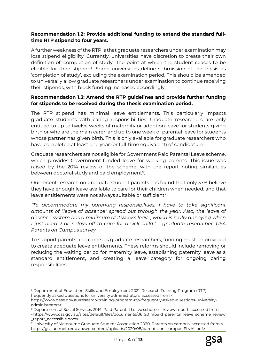## **Recommendation 1.2: Provide additional funding to extend the standard fulltime RTP stipend to four years.**

A further weakness of the RTP is that graduate researchers under examination may lose stipend eligibility. Currently, universities have discretion to create their own definition of 'completion of study': the point at which the student ceases to be eligible for their stipend<sup>[5](#page-3-0)</sup>. Some universities define submission of the thesis as 'completion of study', excluding the examination period. This should be amended to universally allow graduate researchers under examination to continue receiving their stipends, with block funding increased accordingly.

### **Recommendation 1.3: Amend the RTP guidelines and provide further funding for stipends to be received during the thesis examination period.**

The RTP stipend has minimal leave entitlements. This particularly impacts graduate students with caring responsibilities. Graduate researchers are only entitled to up to twelve weeks of maternity or adoption leave for students giving birth or who are the main carer, and up to one week of parental leave for students whose partner has given birth. This is only available for graduate researchers who have completed at least one year (or full-time equivalent) of candidature.

Graduate researchers are not eligible for Government Paid Parental Leave scheme, which provides Government-funded leave for working parents. This issue was raised by the 2014 review of the scheme, with the report noting similarities between doctoral study and paid employment<sup>[6](#page-3-1)</sup>.

Our recent research on graduate student parents has found that only 37% believe they have enough leave available to care for their children when needed, and that leave entitlements were not always suitable or sufficient<sup>[7](#page-3-2)</sup>.

*"To accommodate my parenting responsibilities, I have to take significant amounts of "leave of absence" spread out through the year. Also, the leave of absence system has a minimum of 2 weeks leave, which is really annoying when I just need 2 or 3 days off to care for a sick child." – graduate researcher, GSA Parents on Campus survey*

To support parents and carers as graduate researchers, funding must be provided to create adequate leave entitlements. These reforms should include removing or reducing the waiting period for maternity leave, establishing paternity leave as a standard entitlement, and creating a leave category for ongoing caring responsibilities.

<span id="page-3-0"></span> $\overline{a}$ <sup>5</sup> Department of Education, Skills and Employment 2021, Research Training Program (RTP) – frequently asked questions for university administrators, accessed from <

https://www.dese.gov.au/research-training-program-rtp-frequently-asked-questions-universityadministrators>

<span id="page-3-1"></span><sup>6</sup> Department of Social Services 2014, Paid Parental Leave scheme – review report, accessed from <https://www.dss.gov.au/sites/default/files/documents/06\_2014/paid\_parental\_leave\_scheme\_review \_report\_accessible.docx>

<span id="page-3-2"></span><sup>7</sup> University of Melbourne Graduate Student Association 2020, Parents on campus, accessed from < https://gsa.unimelb.edu.au/wp-content/uploads/2020/08/parents\_on\_campus-FINAL.pdf>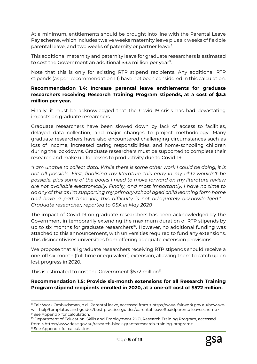At a minimum, entitlements should be brought into line with the Parental Leave Pay scheme, which includes twelve weeks maternity leave plus six weeks of flexible parental leave, and two weeks of paternity or partner leave<sup>8</sup>.

This additional maternity and paternity leave for graduate researchers is estimated to cost the Government an additional \$3.3 million per year<sup>[9](#page-4-1)</sup>.

Note that this is only for existing RTP stipend recipients. Any additional RTP stipends (as per Recommendation 1.1) have not been considered in this calculation.

## **Recommendation 1.4: Increase parental leave entitlements for graduate researchers receiving Research Training Program stipends, at a cost of \$3.3 million per year.**

Finally, it must be acknowledged that the Covid-19 crisis has had devastating impacts on graduate researchers.

Graduate researchers have been slowed down by lack of access to facilities, delayed data collection, and major changes to project methodology. Many graduate researchers have also encountered challenging circumstances such as loss of income, increased caring responsibilities, and home-schooling children during the lockdowns. Graduate researchers must be supported to complete their research and make up for losses to productivity due to Covid-19.

*"I am unable to collect data. While there is some other work I could be doing, it is not all possible. First, finalising my literature this early in my PhD wouldn't be possible, plus some of the books I need to move forward on my literature review are not available electronically. Finally, and most importantly, I have no time to do any of this as I'm supporting my primary-school aged child learning form home and have a part time job; this difficulty is not adequately acknowledged." – Graduate researcher, reported to GSA in May 2020*

The impact of Covid-19 on graduate researchers has been acknowledged by the Government in temporarily extending the maximum duration of RTP stipends by up to six months for graduate researchers<sup>[10](#page-4-2)</sup>. However, no additional funding was attached to this announcement, with universities required to fund any extensions. This disincentivises universities from offering adequate extension provisions.

We propose that all graduate researchers receiving RTP stipends should receive a one-off six-month (full time or equivalent) extension, allowing them to catch up on lost progress in 2020.

This is estimated to cost the Government \$572 million<sup>[11](#page-4-3)</sup>.

<u>.</u>

**Recommendation 1.5: Provide six-month extensions for all Research Training Program stipend recipients enrolled in 2020, at a one-off cost of \$572 million.**

<span id="page-4-0"></span><sup>8</sup> Fair Work Ombudsman, n.d., Parental leave, accessed from < https://www.fairwork.gov.au/how-wewill-help/templates-and-guides/best-practice-guides/parental-leave#paidparentalleavescheme> <sup>9</sup> See Appendix for calculation.

<span id="page-4-3"></span><span id="page-4-2"></span><span id="page-4-1"></span><sup>&</sup>lt;sup>10</sup> Department of Education, Skills and Employment 2021, Research Training Program, accessed from < https://www.dese.gov.au/research-block-grants/research-training-program> <sup>11</sup> See Appendix for calculation.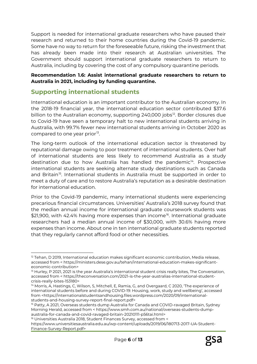Support is needed for international graduate researchers who have paused their research and returned to their home countries during the Covid-19 pandemic. Some have no way to return for the foreseeable future, risking the investment that has already been made into their research at Australian universities. The Government should support international graduate researchers to return to Australia, including by covering the cost of any compulsory quarantine periods.

### **Recommendation 1.6: Assist international graduate researchers to return to Australia in 2021, including by funding quarantine.**

## **Supporting international students**

International education is an important contributor to the Australian economy. In the 2018-19 financial year, the international education sector contributed \$37.6 billion to the Australian economy, supporting 240,000 jobs<sup>12</sup>. Border closures due to Covid-19 have seen a temporary halt to new international students arriving in Australia, with 99.7% fewer new international students arriving in October 2020 as compared to one year prior<sup>[13](#page-5-1)</sup>.

The long-term outlook of the international education sector is threatened by reputational damage owing to poor treatment of international students. Over half of international students are less likely to recommend Australia as a study destination due to how Australia has handled the pandemic<sup>[14](#page-5-2)</sup>. Prospective international students are seeking alternate study destinations such as Canada and Britain<sup>15</sup>. International students in Australia must be supported in order to meet a duty of care and to restore Australia's reputation as a desirable destination for international education.

Prior to the Covid-19 pandemic, many international students were experiencing precarious financial circumstances. Universities' Australia's 2018 survey found that the median annual income for international graduate coursework students was \$21,900, with 42.4% having more expenses than income<sup>[16](#page-5-4)</sup>. International graduate researchers had a median annual income of \$30,000, with 30.6% having more expenses than income. About one in ten international graduate students reported that they regularly cannot afford food or other necessities.

 $\overline{a}$ 

<span id="page-5-0"></span> $12$  Tehan, D 2019, International education makes significant economic contribution, Media release, accessed from < https://ministers.dese.gov.au/tehan/international-education-makes-significanteconomic-contribution>

<span id="page-5-1"></span><sup>&</sup>lt;sup>13</sup> Hurley, P 2021, 2021 is the year Australia's international student crisis really bites, The Conversation, accessed from < https://theconversation.com/2021-is-the-year-australias-international-studentcrisis-really-bites-153180>

<span id="page-5-2"></span><sup>&</sup>lt;sup>14</sup> Morris, A, Hastings, C, Wilson, S, Mitchell, E, Ramia, G, and Overgaard, C 2020, 'The experience of international students before and during COVID-19: Housing, work, study and wellbeing', accessed from <https://internationalstudentsandhousing.files.wordpress.com/2020/09/internationalstudents-and-housing-survey-report-final-report.pdf>

<span id="page-5-3"></span><sup>&</sup>lt;sup>15</sup> Patty, A 2021, Overseas students dump Australia for Canada and COVID-ravaged Britain, Sydney Morning Herald, accessed from < https://www.smh.com.au/national/overseas-students-dumpaustralia-for-canada-and-covid-ravaged-britain-20210111-p56tai.html>

<span id="page-5-4"></span><sup>&</sup>lt;sup>16</sup> Universities Australia 2018, Student Finances Survey, accessed from <

https://www.universitiesaustralia.edu.au/wp-content/uploads/2019/06/180713-2017-UA-Student-Finance-Survey-Report.pdf>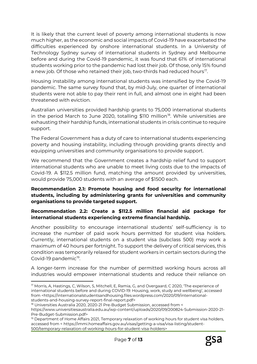It is likely that the current level of poverty among international students is now much higher, as the economic and social impacts of Covid-19 have exacerbated the difficulties experienced by onshore international students. In a University of Technology Sydney survey of international students in Sydney and Melbourne before and during the Covid-19 pandemic, it was found that 61% of international students working prior to the pandemic had lost their job. Of those, only 15% found a new job. Of those who retained their job, two-thirds had reduced hours<sup>17</sup>.

Housing instability among international students was intensified by the Covid-19 pandemic. The same survey found that, by mid-July, one quarter of international students were not able to pay their rent in full, and almost one in eight had been threatened with eviction.

Australian universities provided hardship grants to 75,000 international students in the period March to June 2020, totalling  $$110$  million<sup>18</sup>. While universities are exhausting their hardship funds, international students in crisis continue to require support.

The Federal Government has a duty of care to international students experiencing poverty and housing instability, including through providing grants directly and equipping universities and community organisations to provide support.

We recommend that the Government creates a hardship relief fund to support international students who are unable to meet living costs due to the impacts of Covid-19. A \$112.5 million fund, matching the amount provided by universities, would provide 75,000 students with an average of \$1500 each.

## **Recommendation 2.1: Promote housing and food security for international students, including by administering grants for universities and community organisations to provide targeted support.**

## **Recommendation 2.2: Create a \$112.5 million financial aid package for international students experiencing extreme financial hardship.**

Another possibility to encourage international students' self-sufficiency is to increase the number of paid work hours permitted for student visa holders. Currently, international students on a student visa (subclass 500) may work a maximum of 40 hours per fortnight. To support the delivery of critical services, this condition was temporarily relaxed for student workers in certain sectors during the Covid-[19](#page-6-2) pandemic<sup>19</sup>.

A longer-term increase for the number of permitted working hours across all industries would empower international students and reduce their reliance on

<u>.</u>

<span id="page-6-0"></span><sup>&</sup>lt;sup>17</sup> Morris, A, Hastings, C, Wilson, S, Mitchell, E, Ramia, G, and Overgaard, C 2020, 'The experience of international students before and during COVID-19: Housing, work, study and wellbeing', accessed from <https://internationalstudentsandhousing.files.wordpress.com/2020/09/internationalstudents-and-housing-survey-report-final-report.pdf>

<span id="page-6-1"></span><sup>&</sup>lt;sup>18</sup> Universities Australia 2020, 2020-21 Pre-Budget Submission, accessed from <

https://www.universitiesaustralia.edu.au/wp-content/uploads/2020/09/200824-Submission-2020-21- Pre-Budget-Submission.pdf>

<span id="page-6-2"></span><sup>&</sup>lt;sup>19</sup> Department of Home Affairs 2021, Temporary relaxation of working hours for student visa holders, accessed from < https://immi.homeaffairs.gov.au/visas/getting-a-visa/visa-listing/student-500/temporary-relaxation-of-working-hours-for-student-visa-holders>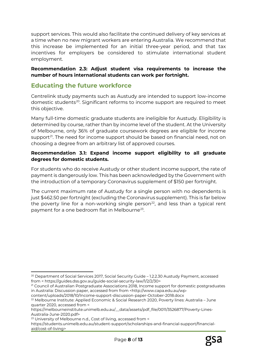support services. This would also facilitate the continued delivery of key services at a time when no new migrant workers are entering Australia. We recommend that this increase be implemented for an initial three-year period, and that tax incentives for employers be considered to stimulate international student employment.

**Recommendation 2.3: Adjust student visa requirements to increase the number of hours international students can work per fortnight.**

## **Educating the future workforce**

Centrelink study payments such as Austudy are intended to support low-income domestic students[20](#page-7-0). Significant reforms to income support are required to meet this objective.

Many full-time domestic graduate students are ineligible for Austudy. Eligibility is determined by course, rather than by income level of the student. At the University of Melbourne, only 36% of graduate coursework degrees are eligible for income support<sup>21</sup>. The need for income support should be based on financial need, not on choosing a degree from an arbitrary list of approved courses.

## **Recommendation 3.1: Expand income support eligibility to all graduate degrees for domestic students.**

For students who do receive Austudy or other student income support, the rate of payment is dangerously low. This has been acknowledged by the Government with the introduction of a temporary Coronavirus supplement of \$150 per fortnight.

The current maximum rate of Austudy for a single person with no dependents is just \$462.50 per fortnight (excluding the Coronavirus supplement). This is far below the poverty line for a non-working single person<sup>[22](#page-7-2)</sup>, and less than a typical rent payment for a one bedroom flat in Melbourne<sup>[23](#page-7-3)</sup>.

 $\overline{a}$ 

<span id="page-7-0"></span><sup>&</sup>lt;sup>20</sup> Department of Social Services 2017, Social Security Guide - 1.2.2.30 Austudy Payment, accessed from < https://guides.dss.gov.au/guide-social-security-law/1/2/2/30>

<span id="page-7-1"></span><sup>&</sup>lt;sup>21</sup> Council of Australian Postgraduate Associations 2018, Income support for domestic postgraduates in Australia: Discussion paper, accessed from from <http://www.capa.edu.au/wp-

content/uploads/2018/10/Income-support-discussion-paper-October-2018.docx

<span id="page-7-2"></span><sup>22</sup> Melbourne Institute: Applied Economic & Social Research 2020, Poverty lines: Australia – June quarter 2020, accessed from <

https://melbourneinstitute.unimelb.edu.au/\_\_data/assets/pdf\_file/0011/3526877/Poverty-Lines-Australia-June-2020.pdf>

<span id="page-7-3"></span><sup>23</sup> University of Melbourne n.d., Cost of living, accessed from <

https://students.unimelb.edu.au/student-support/scholarships-and-financial-support/financialaid/cost-of-living>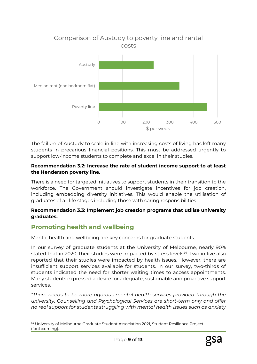

The failure of Austudy to scale in line with increasing costs of living has left many students in precarious financial positions. This must be addressed urgently to support low-income students to complete and excel in their studies.

## **Recommendation 3.2: Increase the rate of student income support to at least the Henderson poverty line.**

There is a need for targeted initiatives to support students in their transition to the workforce. The Government should investigate incentives for job creation, including embedding diversity initiatives. This would enable the utilisation of graduates of all life stages including those with caring responsibilities.

## **Recommendation 3.3: Implement job creation programs that utilise university graduates.**

## **Promoting health and wellbeing**

Mental health and wellbeing are key concerns for graduate students.

In our survey of graduate students at the University of Melbourne, nearly 90% stated that in 2020, their studies were impacted by stress levels $24$ . Two in five also reported that their studies were impacted by health issues. However, there are insufficient support services available for students. In our survey, two-thirds of students indicated the need for shorter waiting times to access appointments. Many students expressed a desire for adequate, sustainable and proactive support services.

*"There needs to be more rigorous mental health services provided through the university. Counselling and Psychological Services are short-term only and offer no real support for students struggling with mental health issues such as anxiety* 

<span id="page-8-0"></span><sup>&</sup>lt;u>.</u> <sup>24</sup> University of Melbourne Graduate Student Association 2021, Student Resilience Project (forthcoming).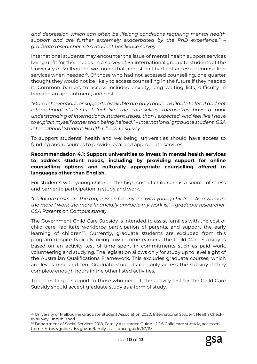*and depression which can often be lifelong conditions requiring mental health support and are further extremely exacerbated by the PhD experience." – graduate researcher, GSA Student Resilience survey*

International students may encounter the issue of mental health support services being unfit for their needs. In a survey of 84 international graduate students at the University of Melbourne, we found that almost half had not accessed counselling services when needed<sup>25</sup>. Of those who had not accessed counselling, one quarter thought they would not be likely to access counselling in the future if they needed it. Common barriers to access included anxiety, long waiting lists, difficulty in booking an appointment, and cost.

*"More interventions or supports available are only made available to local and not international students. I feel like the counsellors themselves have a poor understanding of international student issues, than I expected. And feel like i have to explain myself rather than being helped." – international graduate student, GSA International Student Health Check-In survey*

To support students' health and wellbeing, universities should have access to funding and resources to provide local and appropriate services.

### **Recommendation 4.1: Support universities to invest in mental health services to address student needs, including by providing support for online counselling options and culturally appropriate counselling offered in languages other than English.**

For students with young children, the high cost of child care is a source of stress and barrier to participation in study and work.

*"Childcare costs are the major issue for anyone with young children. As a woman, the more I work the more financially unviable my work is." – graduate researcher, GSA Parents on Campus survey*

The Government Child Care Subsidy is intended to assist families with the cost of child care, facilitate workforce participation of parents, and support the early learning of children<sup>26</sup>. Currently, graduate students are excluded from this program despite typically being low income earners. The Child Care Subsidy is based on an activity test of time spent in commitments such as paid work, volunteering and studying. The legislation allows only for study up to level eight of the Australian Qualifications Framework. This excludes graduate courses, which are levels nine and ten. Graduate students can only access the subsidy if they complete enough hours in the other listed activities.

To better target support to those who need it, the activity test for the Child Care Subsidy should accept graduate study as a form of study.

**.** 

<span id="page-9-0"></span><sup>&</sup>lt;sup>25</sup> University of Melbourne Graduate Student Association 2020, International Student Health Check-In survey, unpublished

<span id="page-9-1"></span><sup>&</sup>lt;sup>26</sup> Department of Social Services 2018, Family Assistance Guide - 1.2.6 Child care subsidy, accessed from < https://guides.dss.gov.au/family-assistance-guide/1/2/6>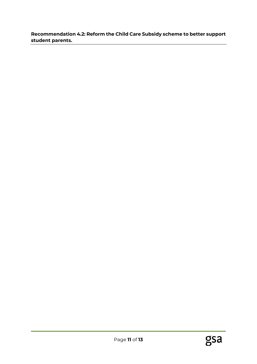## **Recommendation 4.2: Reform the Child Care Subsidy scheme to better support student parents.**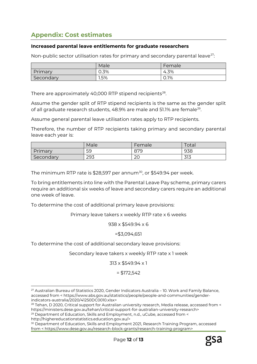# **Appendix: Cost estimates**

#### **Increased parental leave entitlements for graduate researchers**

Non-public sector utilisation rates for primary and secondary parental leave<sup>[27](#page-11-0)</sup>:

|           | Male | Female |
|-----------|------|--------|
| Primary   | 0.3% | 4.3%   |
| Secondary | 1.5% | 0.1%   |

There are approximately 40,000 RTP stipend recipients<sup>28</sup>.

Assume the gender split of RTP stipend recipients is the same as the gender split of all graduate research students, 48.9% are male and 51.1% are female<sup>29</sup>.

Assume general parental leave utilisation rates apply to RTP recipients.

Therefore, the number of RTP recipients taking primary and secondary parental leave each year is:

|           | Male | Female       | $\tau$ otal |
|-----------|------|--------------|-------------|
| Primary   | 59   | 879          | 938         |
| Secondary | 293  | $\cap$<br>∠∪ | 313         |

The minimum RTP rate is  $$28,597$  per annum<sup>[30](#page-11-3)</sup>, or  $$549.94$  per week.

To bring entitlements into line with the Parental Leave Pay scheme, primary carers require an additional six weeks of leave and secondary carers require an additional one week of leave.

To determine the cost of additional primary leave provisions:

Primary leave takers x weekly RTP rate x 6 weeks

938 x \$549.94 x 6

#### =\$3,094,651

To determine the cost of additional secondary leave provisions:

 $\overline{a}$ 

Secondary leave takers x weekly RTP rate x 1 week

313 x \$549.94 x 1

 $= $172,542$ 

<span id="page-11-0"></span><sup>&</sup>lt;sup>27</sup> Australian Bureau of Statistics 2020, Gender Indicators Australia - 10. Work and Family Balance, accessed from < https://www.abs.gov.au/statistics/people/people-and-communities/genderindicators-australia/2020/41250DC0010.xlsx>

<span id="page-11-1"></span><sup>&</sup>lt;sup>28</sup> Tehan, D 2020, Critical support for Australian university research, Media release, accessed from < https://ministers.dese.gov.au/tehan/critical-support-for-australian-university-research>

<span id="page-11-2"></span><sup>&</sup>lt;sup>29</sup> Department of Education, Skills and Employment, n.d., uCube, accessed from < http://highereducationstatistics.education.gov.au/>

<span id="page-11-3"></span><sup>&</sup>lt;sup>30</sup> Department of Education, Skills and Employment 2021, Research Training Program, accessed from < https://www.dese.gov.au/research-block-grants/research-training-program>